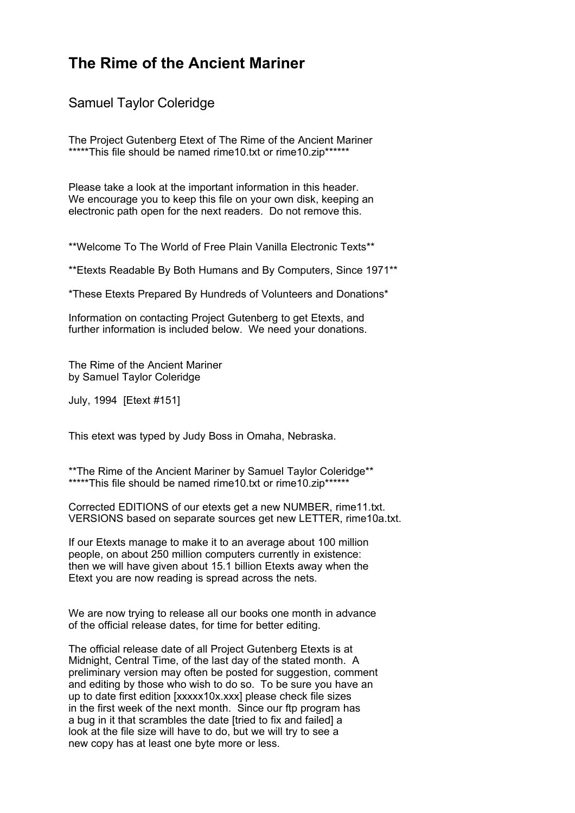# **The Rime of the Ancient Mariner**

Samuel Taylor Coleridge

The Project Gutenberg Etext of The Rime of the Ancient Mariner \*\*\*\*\*This file should be named rime10.txt or rime10.zip\*\*\*\*\*\*

Please take a look at the important information in this header. We encourage you to keep this file on your own disk, keeping an electronic path open for the next readers. Do not remove this.

\*\*Welcome To The World of Free Plain Vanilla Electronic Texts\*\*

\*\*Etexts Readable By Both Humans and By Computers, Since 1971\*\*

\*These Etexts Prepared By Hundreds of Volunteers and Donations\*

Information on contacting Project Gutenberg to get Etexts, and further information is included below. We need your donations.

The Rime of the Ancient Mariner by Samuel Taylor Coleridge

July, 1994 [Etext #151]

This etext was typed by Judy Boss in Omaha, Nebraska.

\*\*The Rime of the Ancient Mariner by Samuel Taylor Coleridge\*\* \*\*\*\*\*This file should be named rime10.txt or rime10.zip\*\*\*\*\*\*

Corrected EDITIONS of our etexts get a new NUMBER, rime11.txt. VERSIONS based on separate sources get new LETTER, rime10a.txt.

If our Etexts manage to make it to an average about 100 million people, on about 250 million computers currently in existence: then we will have given about 15.1 billion Etexts away when the Etext you are now reading is spread across the nets.

We are now trying to release all our books one month in advance of the official release dates, for time for better editing.

The official release date of all Project Gutenberg Etexts is at Midnight, Central Time, of the last day of the stated month. A preliminary version may often be posted for suggestion, comment and editing by those who wish to do so. To be sure you have an up to date first edition [xxxxx10x.xxx] please check file sizes in the first week of the next month. Since our ftp program has a bug in it that scrambles the date [tried to fix and failed] a look at the file size will have to do, but we will try to see a new copy has at least one byte more or less.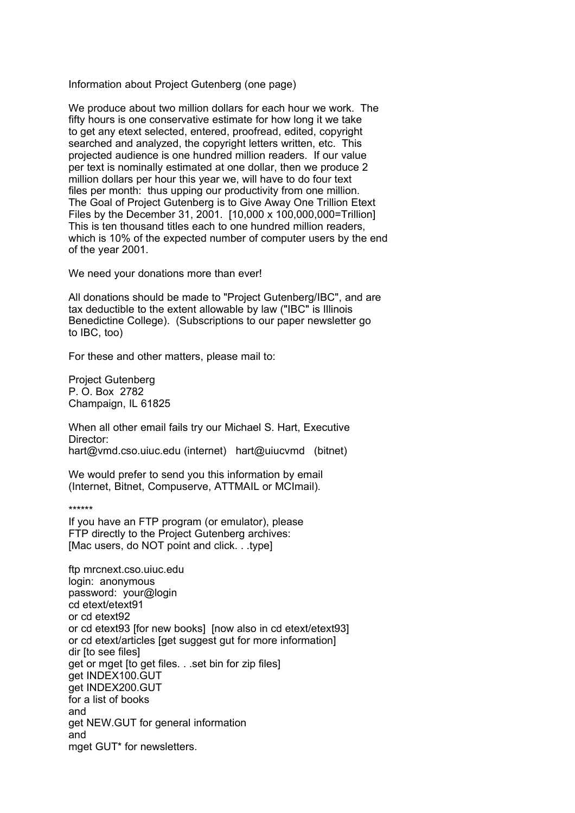Information about Project Gutenberg (one page)

We produce about two million dollars for each hour we work. The fifty hours is one conservative estimate for how long it we take to get any etext selected, entered, proofread, edited, copyright searched and analyzed, the copyright letters written, etc. This projected audience is one hundred million readers. If our value per text is nominally estimated at one dollar, then we produce 2 million dollars per hour this year we, will have to do four text files per month: thus upping our productivity from one million. The Goal of Project Gutenberg is to Give Away One Trillion Etext Files by the December 31, 2001. [10,000 x 100,000,000=Trillion] This is ten thousand titles each to one hundred million readers, which is 10% of the expected number of computer users by the end of the year 2001.

We need your donations more than ever!

All donations should be made to "Project Gutenberg/IBC", and are tax deductible to the extent allowable by law ("IBC" is Illinois Benedictine College). (Subscriptions to our paper newsletter go to IBC, too)

For these and other matters, please mail to:

Project Gutenberg P. O. Box 2782 Champaign, IL 61825

When all other email fails try our Michael S. Hart, Executive Director: hart@vmd.cso.uiuc.edu (internet) hart@uiucvmd (bitnet)

We would prefer to send you this information by email (Internet, Bitnet, Compuserve, ATTMAIL or MCImail).

\*\*\*\*\*\*

If you have an FTP program (or emulator), please FTP directly to the Project Gutenberg archives: [Mac users, do NOT point and click. . .type]

ftp mrcnext.cso.uiuc.edu login: anonymous password: your@login cd etext/etext91 or cd etext92 or cd etext93 [for new books] [now also in cd etext/etext93] or cd etext/articles [get suggest gut for more information] dir Ito see filesl get or mget [to get files. . .set bin for zip files] get INDEX100.GUT get INDEX200.GUT for a list of books and get NEW.GUT for general information and mget GUT\* for newsletters.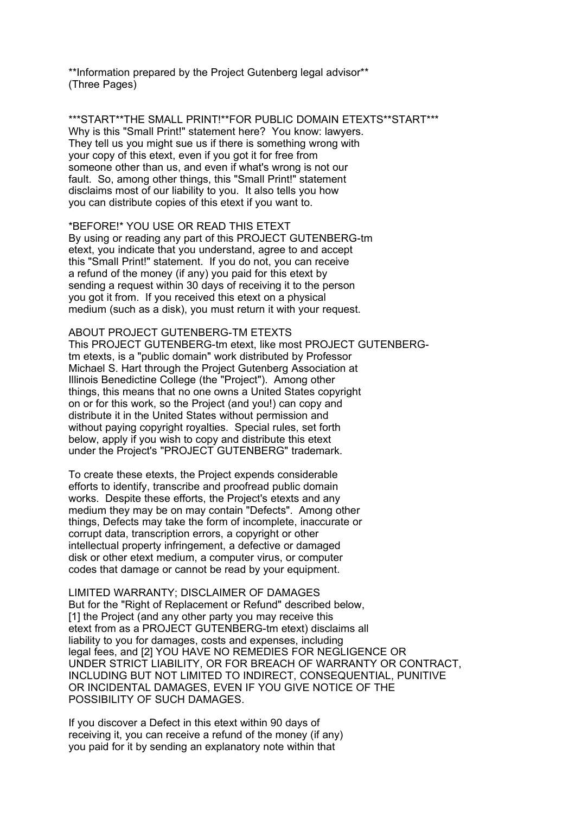\*\*Information prepared by the Project Gutenberg legal advisor\*\* (Three Pages)

\*\*\*START\*\*THE SMALL PRINT!\*\*FOR PUBLIC DOMAIN ETEXTS\*\*START\*\*\* Why is this "Small Print!" statement here? You know: lawyers. They tell us you might sue us if there is something wrong with your copy of this etext, even if you got it for free from someone other than us, and even if what's wrong is not our fault. So, among other things, this "Small Print!" statement disclaims most of our liability to you. It also tells you how you can distribute copies of this etext if you want to.

\*BEFORE!\* YOU USE OR READ THIS ETEXT By using or reading any part of this PROJECT GUTENBERG-tm etext, you indicate that you understand, agree to and accept this "Small Print!" statement. If you do not, you can receive a refund of the money (if any) you paid for this etext by sending a request within 30 days of receiving it to the person you got it from. If you received this etext on a physical medium (such as a disk), you must return it with your request.

ABOUT PROJECT GUTENBERG-TM ETEXTS This PROJECT GUTENBERG-tm etext, like most PROJECT GUTENBERGtm etexts, is a "public domain" work distributed by Professor Michael S. Hart through the Project Gutenberg Association at Illinois Benedictine College (the "Project"). Among other things, this means that no one owns a United States copyright on or for this work, so the Project (and you!) can copy and distribute it in the United States without permission and without paying copyright royalties. Special rules, set forth below, apply if you wish to copy and distribute this etext under the Project's "PROJECT GUTENBERG" trademark.

To create these etexts, the Project expends considerable efforts to identify, transcribe and proofread public domain works. Despite these efforts, the Project's etexts and any medium they may be on may contain "Defects". Among other things, Defects may take the form of incomplete, inaccurate or corrupt data, transcription errors, a copyright or other intellectual property infringement, a defective or damaged disk or other etext medium, a computer virus, or computer codes that damage or cannot be read by your equipment.

LIMITED WARRANTY; DISCLAIMER OF DAMAGES But for the "Right of Replacement or Refund" described below, [1] the Project (and any other party you may receive this etext from as a PROJECT GUTENBERG-tm etext) disclaims all liability to you for damages, costs and expenses, including legal fees, and [2] YOU HAVE NO REMEDIES FOR NEGLIGENCE OR UNDER STRICT LIABILITY, OR FOR BREACH OF WARRANTY OR CONTRACT, INCLUDING BUT NOT LIMITED TO INDIRECT, CONSEQUENTIAL, PUNITIVE OR INCIDENTAL DAMAGES, EVEN IF YOU GIVE NOTICE OF THE POSSIBILITY OF SUCH DAMAGES.

If you discover a Defect in this etext within 90 days of receiving it, you can receive a refund of the money (if any) you paid for it by sending an explanatory note within that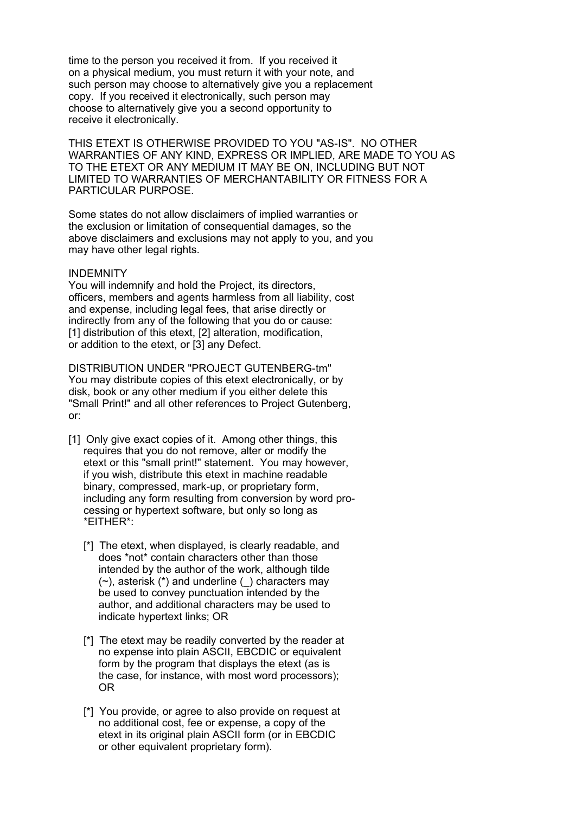time to the person you received it from. If you received it on a physical medium, you must return it with your note, and such person may choose to alternatively give you a replacement copy. If you received it electronically, such person may choose to alternatively give you a second opportunity to receive it electronically.

THIS ETEXT IS OTHERWISE PROVIDED TO YOU "AS-IS". NO OTHER WARRANTIES OF ANY KIND, EXPRESS OR IMPLIED, ARE MADE TO YOU AS TO THE ETEXT OR ANY MEDIUM IT MAY BE ON, INCLUDING BUT NOT LIMITED TO WARRANTIES OF MERCHANTABILITY OR FITNESS FOR A PARTICULAR PURPOSE.

Some states do not allow disclaimers of implied warranties or the exclusion or limitation of consequential damages, so the above disclaimers and exclusions may not apply to you, and you may have other legal rights.

#### INDEMNITY

You will indemnify and hold the Project, its directors, officers, members and agents harmless from all liability, cost and expense, including legal fees, that arise directly or indirectly from any of the following that you do or cause: [1] distribution of this etext, [2] alteration, modification, or addition to the etext, or [3] any Defect.

DISTRIBUTION UNDER "PROJECT GUTENBERG-tm" You may distribute copies of this etext electronically, or by disk, book or any other medium if you either delete this "Small Print!" and all other references to Project Gutenberg, or:

- [1] Only give exact copies of it. Among other things, this requires that you do not remove, alter or modify the etext or this "small print!" statement. You may however, if you wish, distribute this etext in machine readable binary, compressed, mark-up, or proprietary form, including any form resulting from conversion by word processing or hypertext software, but only so long as \*EITHER\*:
	- [\*] The etext, when displayed, is clearly readable, and does \*not\* contain characters other than those intended by the author of the work, although tilde  $(\sim)$ , asterisk  $(*)$  and underline () characters may be used to convey punctuation intended by the author, and additional characters may be used to indicate hypertext links; OR
	- [\*] The etext may be readily converted by the reader at no expense into plain ASCII, EBCDIC or equivalent form by the program that displays the etext (as is the case, for instance, with most word processors); OR
	- [\*] You provide, or agree to also provide on request at no additional cost, fee or expense, a copy of the etext in its original plain ASCII form (or in EBCDIC or other equivalent proprietary form).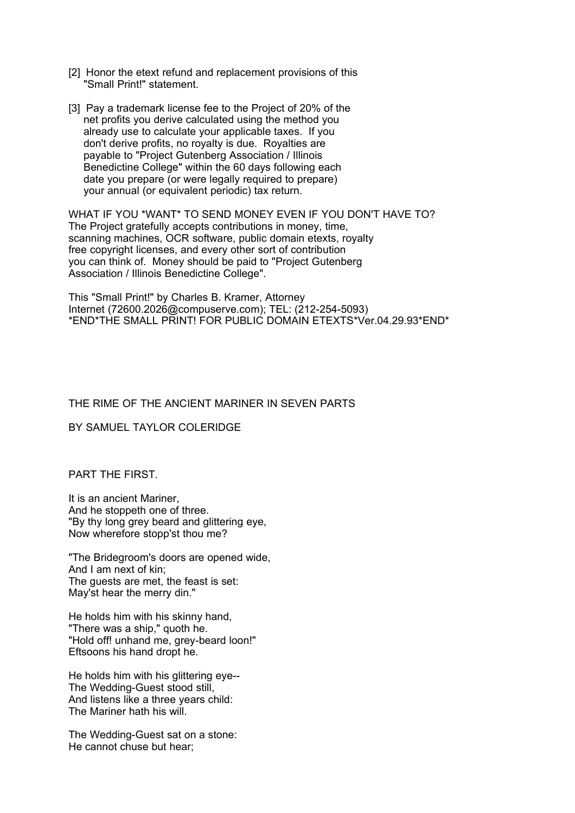- [2] Honor the etext refund and replacement provisions of this "Small Print!" statement.
- [3] Pay a trademark license fee to the Project of 20% of the net profits you derive calculated using the method you already use to calculate your applicable taxes. If you don't derive profits, no royalty is due. Royalties are payable to "Project Gutenberg Association / Illinois Benedictine College" within the 60 days following each date you prepare (or were legally required to prepare) your annual (or equivalent periodic) tax return.

WHAT IF YOU \*WANT\* TO SEND MONEY EVEN IF YOU DON'T HAVE TO? The Project gratefully accepts contributions in money, time, scanning machines, OCR software, public domain etexts, royalty free copyright licenses, and every other sort of contribution you can think of. Money should be paid to "Project Gutenberg Association / Illinois Benedictine College".

This "Small Print!" by Charles B. Kramer, Attorney Internet (72600.2026@compuserve.com); TEL: (212-254-5093) \*END\*THE SMALL PRINT! FOR PUBLIC DOMAIN ETEXTS\*Ver.04.29.93\*END\*

## THE RIME OF THE ANCIENT MARINER IN SEVEN PARTS

#### BY SAMUEL TAYLOR COLERIDGE

#### PART THE FIRST.

It is an ancient Mariner, And he stoppeth one of three. "By thy long grey beard and glittering eye, Now wherefore stopp'st thou me?

"The Bridegroom's doors are opened wide, And I am next of kin; The guests are met, the feast is set: May'st hear the merry din."

He holds him with his skinny hand, "There was a ship," quoth he. "Hold off! unhand me, grey-beard loon!" Eftsoons his hand dropt he.

He holds him with his glittering eye-- The Wedding-Guest stood still, And listens like a three years child: The Mariner hath his will.

The Wedding-Guest sat on a stone: He cannot chuse but hear;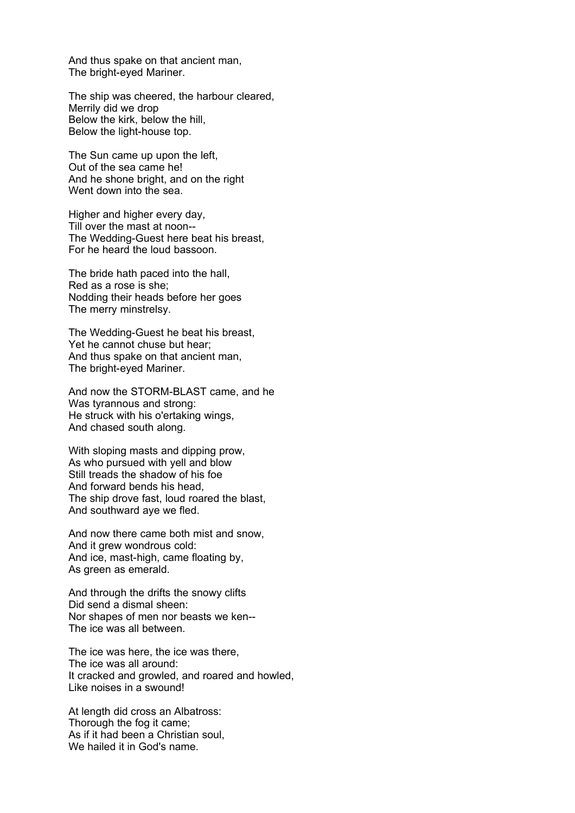And thus spake on that ancient man, The bright-eyed Mariner.

The ship was cheered, the harbour cleared, Merrily did we drop Below the kirk, below the hill, Below the light-house top.

The Sun came up upon the left, Out of the sea came he! And he shone bright, and on the right Went down into the sea.

Higher and higher every day, Till over the mast at noon-- The Wedding-Guest here beat his breast, For he heard the loud bassoon.

The bride hath paced into the hall, Red as a rose is she; Nodding their heads before her goes The merry minstrelsy.

The Wedding-Guest he beat his breast, Yet he cannot chuse but hear; And thus spake on that ancient man, The bright-eyed Mariner.

And now the STORM-BLAST came, and he Was tyrannous and strong: He struck with his o'ertaking wings, And chased south along.

With sloping masts and dipping prow, As who pursued with yell and blow Still treads the shadow of his foe And forward bends his head, The ship drove fast, loud roared the blast, And southward aye we fled.

And now there came both mist and snow, And it grew wondrous cold: And ice, mast-high, came floating by, As green as emerald.

And through the drifts the snowy clifts Did send a dismal sheen: Nor shapes of men nor beasts we ken-- The ice was all between.

The ice was here, the ice was there, The ice was all around: It cracked and growled, and roared and howled, Like noises in a swound!

At length did cross an Albatross: Thorough the fog it came; As if it had been a Christian soul, We hailed it in God's name.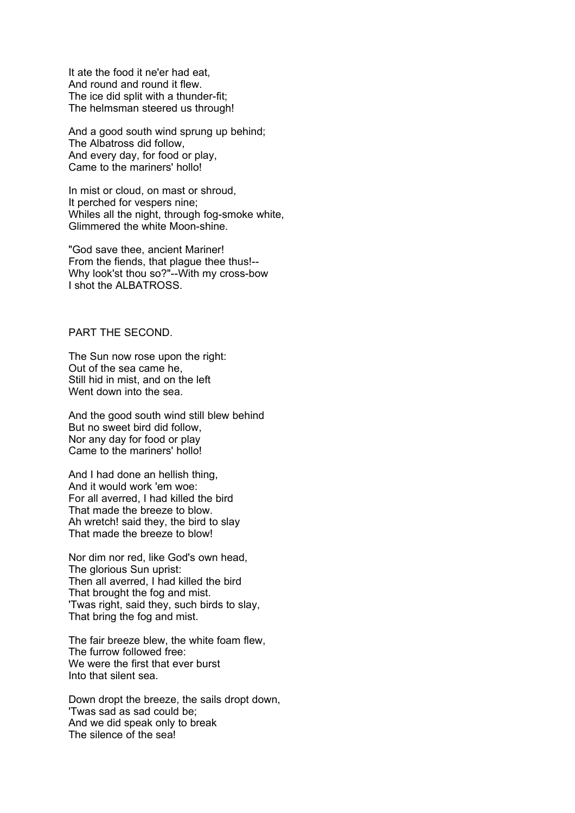It ate the food it ne'er had eat, And round and round it flew. The ice did split with a thunder-fit; The helmsman steered us through!

And a good south wind sprung up behind; The Albatross did follow, And every day, for food or play, Came to the mariners' hollo!

In mist or cloud, on mast or shroud, It perched for vespers nine; Whiles all the night, through fog-smoke white, Glimmered the white Moon-shine.

"God save thee, ancient Mariner! From the fiends, that plague thee thus!-- Why look'st thou so?"--With my cross-bow I shot the ALBATROSS.

## PART THE SECOND.

The Sun now rose upon the right: Out of the sea came he, Still hid in mist, and on the left Went down into the sea.

And the good south wind still blew behind But no sweet bird did follow, Nor any day for food or play Came to the mariners' hollo!

And I had done an hellish thing, And it would work 'em woe: For all averred, I had killed the bird That made the breeze to blow. Ah wretch! said they, the bird to slay That made the breeze to blow!

Nor dim nor red, like God's own head, The glorious Sun uprist: Then all averred, I had killed the bird That brought the fog and mist. 'Twas right, said they, such birds to slay, That bring the fog and mist.

The fair breeze blew, the white foam flew, The furrow followed free: We were the first that ever burst Into that silent sea.

Down dropt the breeze, the sails dropt down, 'Twas sad as sad could be; And we did speak only to break The silence of the sea!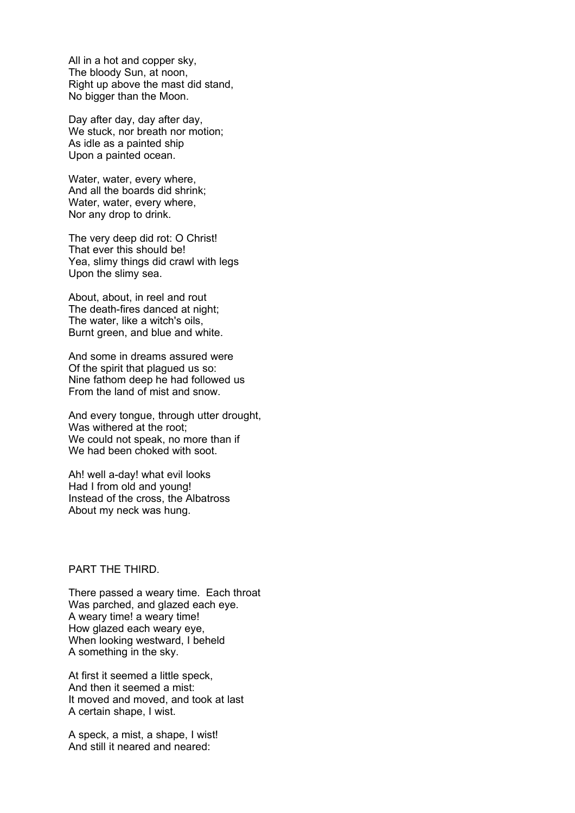All in a hot and copper sky, The bloody Sun, at noon, Right up above the mast did stand, No bigger than the Moon.

Day after day, day after day, We stuck, nor breath nor motion; As idle as a painted ship Upon a painted ocean.

Water, water, every where, And all the boards did shrink; Water, water, every where, Nor any drop to drink.

The very deep did rot: O Christ! That ever this should be! Yea, slimy things did crawl with legs Upon the slimy sea.

About, about, in reel and rout The death-fires danced at night; The water, like a witch's oils, Burnt green, and blue and white.

And some in dreams assured were Of the spirit that plagued us so: Nine fathom deep he had followed us From the land of mist and snow.

And every tongue, through utter drought, Was withered at the root; We could not speak, no more than if We had been choked with soot.

Ah! well a-day! what evil looks Had I from old and young! Instead of the cross, the Albatross About my neck was hung.

## PART THE THIRD.

There passed a weary time. Each throat Was parched, and glazed each eye. A weary time! a weary time! How glazed each weary eye, When looking westward, I beheld A something in the sky.

At first it seemed a little speck, And then it seemed a mist: It moved and moved, and took at last A certain shape, I wist.

A speck, a mist, a shape, I wist! And still it neared and neared: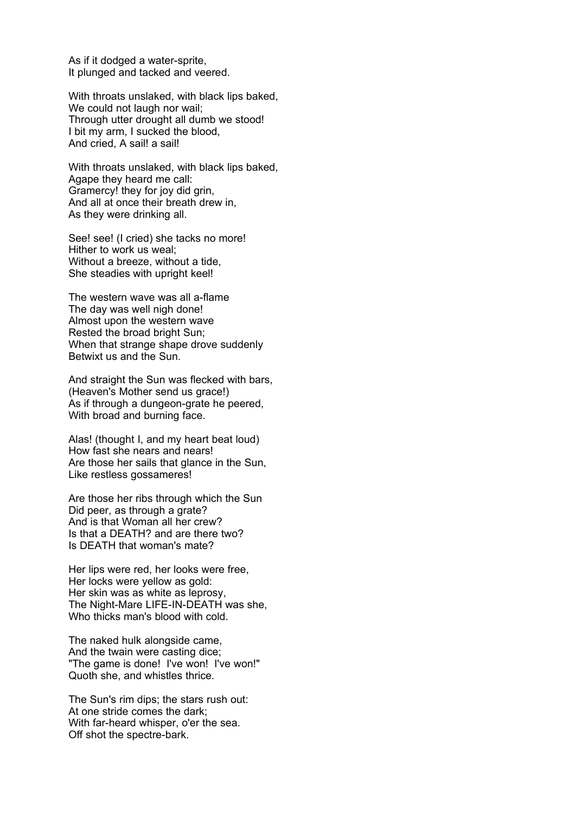As if it dodged a water-sprite, It plunged and tacked and veered.

With throats unslaked, with black lips baked, We could not laugh nor wail; Through utter drought all dumb we stood! I bit my arm, I sucked the blood, And cried, A sail! a sail!

With throats unslaked, with black lips baked, Agape they heard me call: Gramercy! they for joy did grin, And all at once their breath drew in, As they were drinking all.

See! see! (I cried) she tacks no more! Hither to work us weal; Without a breeze, without a tide, She steadies with upright keel!

The western wave was all a-flame The day was well nigh done! Almost upon the western wave Rested the broad bright Sun; When that strange shape drove suddenly Betwixt us and the Sun.

And straight the Sun was flecked with bars, (Heaven's Mother send us grace!) As if through a dungeon-grate he peered, With broad and burning face.

Alas! (thought I, and my heart beat loud) How fast she nears and nears! Are those her sails that glance in the Sun, Like restless gossameres!

Are those her ribs through which the Sun Did peer, as through a grate? And is that Woman all her crew? Is that a DEATH? and are there two? Is DEATH that woman's mate?

Her lips were red, her looks were free, Her locks were yellow as gold: Her skin was as white as leprosy, The Night-Mare LIFE-IN-DEATH was she, Who thicks man's blood with cold.

The naked hulk alongside came, And the twain were casting dice; "The game is done! I've won! I've won!" Quoth she, and whistles thrice.

The Sun's rim dips; the stars rush out: At one stride comes the dark; With far-heard whisper, o'er the sea. Off shot the spectre-bark.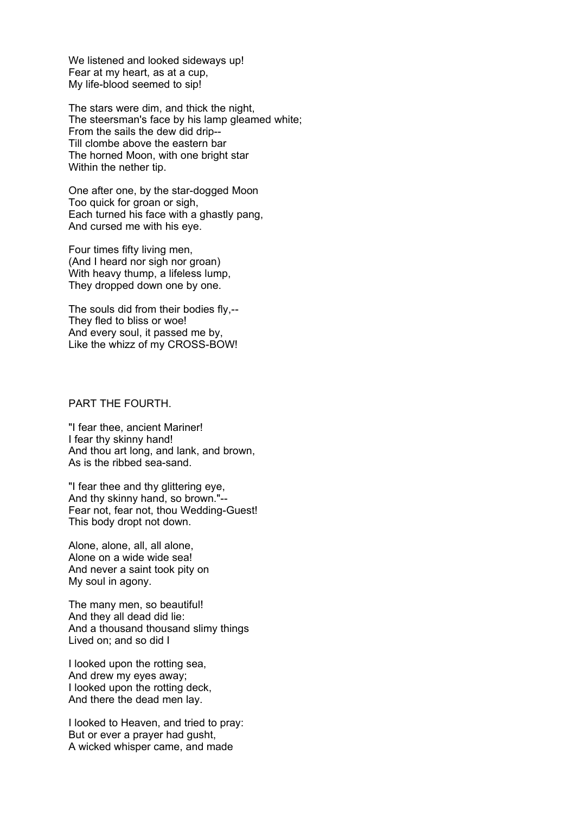We listened and looked sideways up! Fear at my heart, as at a cup, My life-blood seemed to sip!

The stars were dim, and thick the night, The steersman's face by his lamp gleamed white; From the sails the dew did drip-- Till clombe above the eastern bar The horned Moon, with one bright star Within the nether tip.

One after one, by the star-dogged Moon Too quick for groan or sigh, Each turned his face with a ghastly pang, And cursed me with his eye.

Four times fifty living men, (And I heard nor sigh nor groan) With heavy thump, a lifeless lump, They dropped down one by one.

The souls did from their bodies fly,-- They fled to bliss or woe! And every soul, it passed me by, Like the whizz of my CROSS-BOW!

#### PART THE FOURTH.

"I fear thee, ancient Mariner! I fear thy skinny hand! And thou art long, and lank, and brown, As is the ribbed sea-sand.

"I fear thee and thy glittering eye, And thy skinny hand, so brown."-- Fear not, fear not, thou Wedding-Guest! This body dropt not down.

Alone, alone, all, all alone, Alone on a wide wide sea! And never a saint took pity on My soul in agony.

The many men, so beautiful! And they all dead did lie: And a thousand thousand slimy things Lived on; and so did I

I looked upon the rotting sea, And drew my eyes away; I looked upon the rotting deck, And there the dead men lay.

I looked to Heaven, and tried to pray: But or ever a prayer had gusht, A wicked whisper came, and made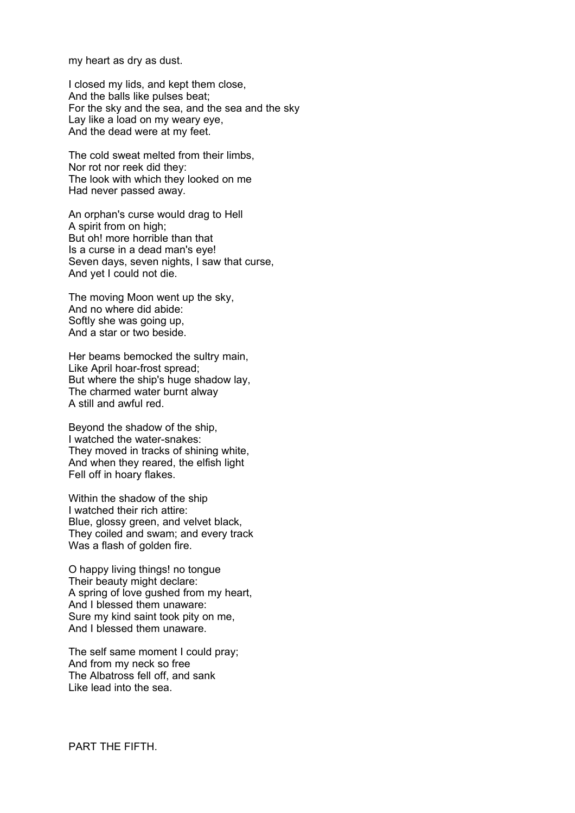my heart as dry as dust.

I closed my lids, and kept them close, And the balls like pulses beat; For the sky and the sea, and the sea and the sky Lay like a load on my weary eye, And the dead were at my feet.

The cold sweat melted from their limbs, Nor rot nor reek did they: The look with which they looked on me Had never passed away.

An orphan's curse would drag to Hell A spirit from on high; But oh! more horrible than that Is a curse in a dead man's eye! Seven days, seven nights, I saw that curse, And yet I could not die.

The moving Moon went up the sky, And no where did abide: Softly she was going up, And a star or two beside.

Her beams bemocked the sultry main, Like April hoar-frost spread; But where the ship's huge shadow lay, The charmed water burnt alway A still and awful red.

Beyond the shadow of the ship, I watched the water-snakes: They moved in tracks of shining white, And when they reared, the elfish light Fell off in hoary flakes.

Within the shadow of the ship I watched their rich attire: Blue, glossy green, and velvet black, They coiled and swam; and every track Was a flash of golden fire.

O happy living things! no tongue Their beauty might declare: A spring of love gushed from my heart, And I blessed them unaware: Sure my kind saint took pity on me, And I blessed them unaware.

The self same moment I could pray; And from my neck so free The Albatross fell off, and sank Like lead into the sea.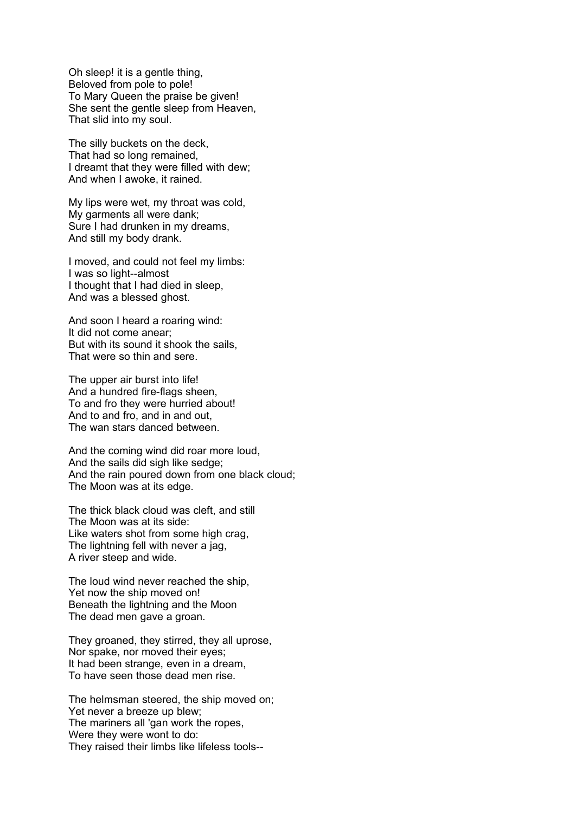Oh sleep! it is a gentle thing, Beloved from pole to pole! To Mary Queen the praise be given! She sent the gentle sleep from Heaven, That slid into my soul.

The silly buckets on the deck, That had so long remained, I dreamt that they were filled with dew; And when I awoke, it rained.

My lips were wet, my throat was cold, My garments all were dank; Sure I had drunken in my dreams, And still my body drank.

I moved, and could not feel my limbs: I was so light--almost I thought that I had died in sleep, And was a blessed ghost.

And soon I heard a roaring wind: It did not come anear; But with its sound it shook the sails, That were so thin and sere.

The upper air burst into life! And a hundred fire-flags sheen, To and fro they were hurried about! And to and fro, and in and out, The wan stars danced between.

And the coming wind did roar more loud, And the sails did sigh like sedge; And the rain poured down from one black cloud; The Moon was at its edge.

The thick black cloud was cleft, and still The Moon was at its side: Like waters shot from some high crag, The lightning fell with never a jag, A river steep and wide.

The loud wind never reached the ship, Yet now the ship moved on! Beneath the lightning and the Moon The dead men gave a groan.

They groaned, they stirred, they all uprose, Nor spake, nor moved their eyes; It had been strange, even in a dream, To have seen those dead men rise.

The helmsman steered, the ship moved on; Yet never a breeze up blew; The mariners all 'gan work the ropes, Were they were wont to do: They raised their limbs like lifeless tools--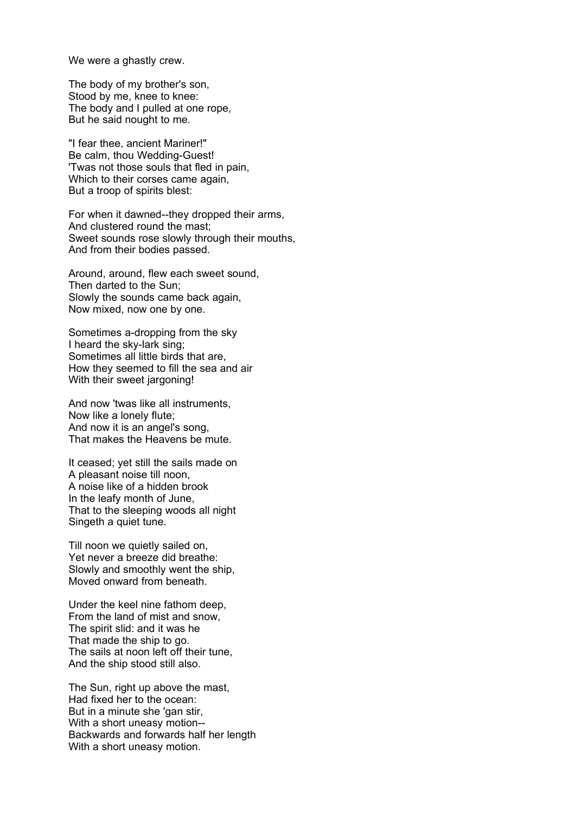We were a ghastly crew.

The body of my brother's son, Stood by me, knee to knee: The body and I pulled at one rope, But he said nought to me.

"I fear thee, ancient Mariner!" Be calm, thou Wedding-Guest! 'Twas not those souls that fled in pain, Which to their corses came again, But a troop of spirits blest:

For when it dawned--they dropped their arms, And clustered round the mast; Sweet sounds rose slowly through their mouths, And from their bodies passed.

Around, around, flew each sweet sound, Then darted to the Sun; Slowly the sounds came back again, Now mixed, now one by one.

Sometimes a-dropping from the sky I heard the sky-lark sing; Sometimes all little birds that are, How they seemed to fill the sea and air With their sweet jargoning!

And now 'twas like all instruments, Now like a lonely flute; And now it is an angel's song, That makes the Heavens be mute.

It ceased; yet still the sails made on A pleasant noise till noon, A noise like of a hidden brook In the leafy month of June, That to the sleeping woods all night Singeth a quiet tune.

Till noon we quietly sailed on, Yet never a breeze did breathe: Slowly and smoothly went the ship, Moved onward from beneath.

Under the keel nine fathom deep, From the land of mist and snow, The spirit slid: and it was he That made the ship to go. The sails at noon left off their tune, And the ship stood still also.

The Sun, right up above the mast, Had fixed her to the ocean: But in a minute she 'gan stir, With a short uneasy motion-- Backwards and forwards half her length With a short uneasy motion.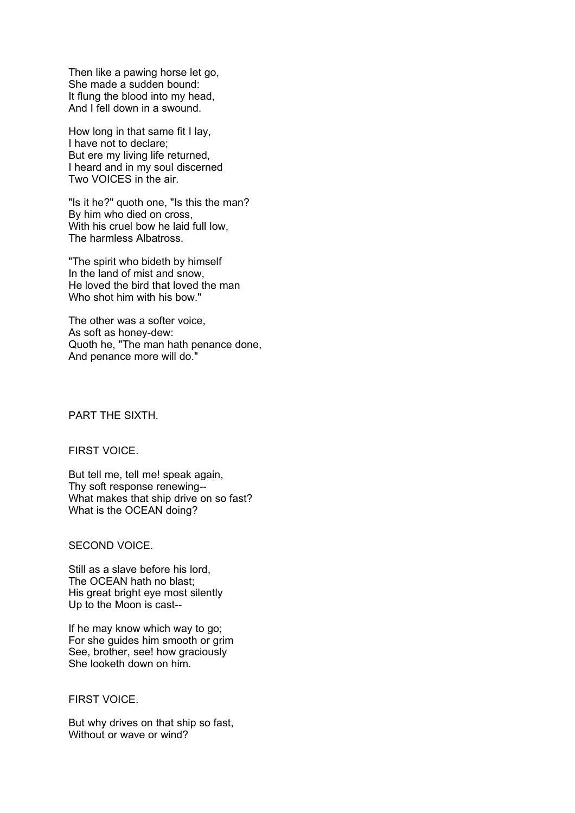Then like a pawing horse let go, She made a sudden bound: It flung the blood into my head, And I fell down in a swound.

How long in that same fit I lay, I have not to declare; But ere my living life returned, I heard and in my soul discerned Two VOICES in the air.

"Is it he?" quoth one, "Is this the man? By him who died on cross, With his cruel bow he laid full low, The harmless Albatross.

"The spirit who bideth by himself In the land of mist and snow, He loved the bird that loved the man Who shot him with his bow."

The other was a softer voice, As soft as honey-dew: Quoth he, "The man hath penance done, And penance more will do."

PART THE SIXTH.

FIRST VOICE.

But tell me, tell me! speak again, Thy soft response renewing-- What makes that ship drive on so fast? What is the OCEAN doing?

#### SECOND VOICE.

Still as a slave before his lord, The OCEAN hath no blast; His great bright eye most silently Up to the Moon is cast--

If he may know which way to go; For she guides him smooth or grim See, brother, see! how graciously She looketh down on him.

#### FIRST VOICE.

But why drives on that ship so fast, Without or wave or wind?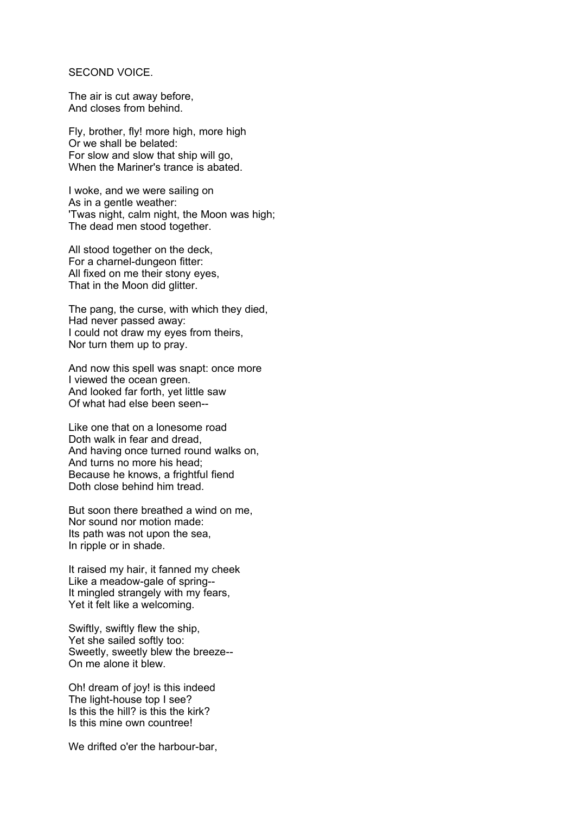## SECOND VOICE.

The air is cut away before, And closes from behind.

Fly, brother, fly! more high, more high Or we shall be belated: For slow and slow that ship will go, When the Mariner's trance is abated.

I woke, and we were sailing on As in a gentle weather: 'Twas night, calm night, the Moon was high; The dead men stood together.

All stood together on the deck, For a charnel-dungeon fitter: All fixed on me their stony eyes, That in the Moon did glitter.

The pang, the curse, with which they died, Had never passed away: I could not draw my eyes from theirs, Nor turn them up to pray.

And now this spell was snapt: once more I viewed the ocean green. And looked far forth, yet little saw Of what had else been seen--

Like one that on a lonesome road Doth walk in fear and dread, And having once turned round walks on, And turns no more his head; Because he knows, a frightful fiend Doth close behind him tread.

But soon there breathed a wind on me, Nor sound nor motion made: Its path was not upon the sea, In ripple or in shade.

It raised my hair, it fanned my cheek Like a meadow-gale of spring-- It mingled strangely with my fears, Yet it felt like a welcoming.

Swiftly, swiftly flew the ship, Yet she sailed softly too: Sweetly, sweetly blew the breeze-- On me alone it blew.

Oh! dream of joy! is this indeed The light-house top I see? Is this the hill? is this the kirk? Is this mine own countree!

We drifted o'er the harbour-bar,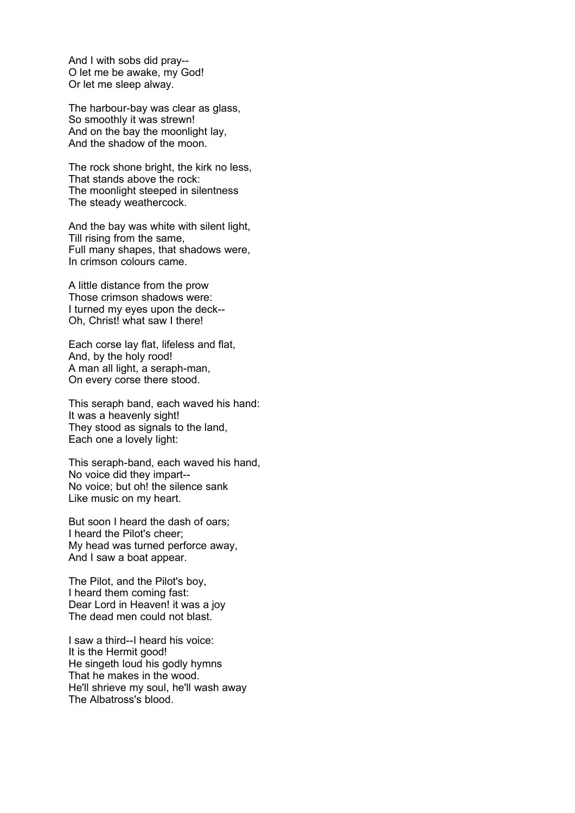And I with sobs did pray-- O let me be awake, my God! Or let me sleep alway.

The harbour-bay was clear as glass, So smoothly it was strewn! And on the bay the moonlight lay, And the shadow of the moon.

The rock shone bright, the kirk no less, That stands above the rock: The moonlight steeped in silentness The steady weathercock.

And the bay was white with silent light, Till rising from the same, Full many shapes, that shadows were, In crimson colours came.

A little distance from the prow Those crimson shadows were: I turned my eyes upon the deck-- Oh, Christ! what saw I there!

Each corse lay flat, lifeless and flat, And, by the holy rood! A man all light, a seraph-man, On every corse there stood.

This seraph band, each waved his hand: It was a heavenly sight! They stood as signals to the land, Each one a lovely light:

This seraph-band, each waved his hand, No voice did they impart-- No voice; but oh! the silence sank Like music on my heart.

But soon I heard the dash of oars; I heard the Pilot's cheer; My head was turned perforce away, And I saw a boat appear.

The Pilot, and the Pilot's boy, I heard them coming fast: Dear Lord in Heaven! it was a joy The dead men could not blast.

I saw a third--I heard his voice: It is the Hermit good! He singeth loud his godly hymns That he makes in the wood. He'll shrieve my soul, he'll wash away The Albatross's blood.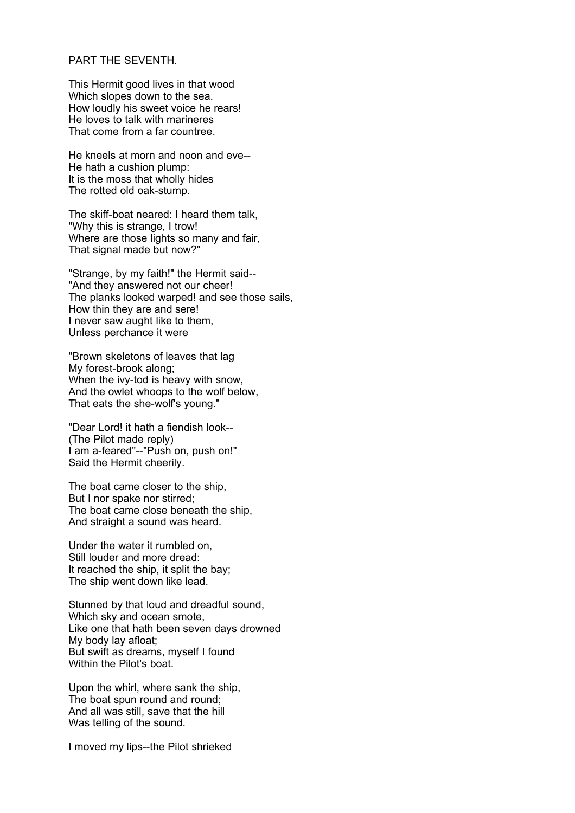## PART THE SEVENTH.

This Hermit good lives in that wood Which slopes down to the sea. How loudly his sweet voice he rears! He loves to talk with marineres That come from a far countree.

He kneels at morn and noon and eve-- He hath a cushion plump: It is the moss that wholly hides The rotted old oak-stump.

The skiff-boat neared: I heard them talk, "Why this is strange, I trow! Where are those lights so many and fair, That signal made but now?"

"Strange, by my faith!" the Hermit said-- "And they answered not our cheer! The planks looked warped! and see those sails, How thin they are and sere! I never saw aught like to them, Unless perchance it were

"Brown skeletons of leaves that lag My forest-brook along; When the ivy-tod is heavy with snow, And the owlet whoops to the wolf below, That eats the she-wolf's young."

"Dear Lord! it hath a fiendish look-- (The Pilot made reply) I am a-feared"--"Push on, push on!" Said the Hermit cheerily.

The boat came closer to the ship, But I nor spake nor stirred; The boat came close beneath the ship, And straight a sound was heard.

Under the water it rumbled on, Still louder and more dread: It reached the ship, it split the bay: The ship went down like lead.

Stunned by that loud and dreadful sound, Which sky and ocean smote, Like one that hath been seven days drowned My body lay afloat; But swift as dreams, myself I found Within the Pilot's boat.

Upon the whirl, where sank the ship, The boat spun round and round; And all was still, save that the hill Was telling of the sound.

I moved my lips--the Pilot shrieked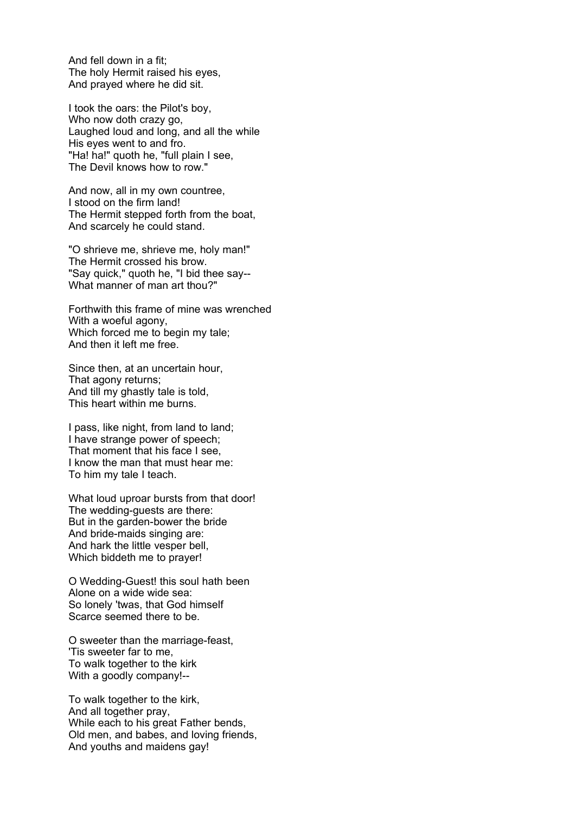And fell down in a fit; The holy Hermit raised his eyes, And prayed where he did sit.

I took the oars: the Pilot's boy, Who now doth crazy go, Laughed loud and long, and all the while His eyes went to and fro. "Ha! ha!" quoth he, "full plain I see, The Devil knows how to row."

And now, all in my own countree, I stood on the firm land! The Hermit stepped forth from the boat, And scarcely he could stand.

"O shrieve me, shrieve me, holy man!" The Hermit crossed his brow. "Say quick," quoth he, "I bid thee say-- What manner of man art thou?"

Forthwith this frame of mine was wrenched With a woeful agony, Which forced me to begin my tale; And then it left me free.

Since then, at an uncertain hour, That agony returns; And till my ghastly tale is told, This heart within me burns.

I pass, like night, from land to land; I have strange power of speech; That moment that his face I see, I know the man that must hear me: To him my tale I teach.

What loud uproar bursts from that door! The wedding-guests are there: But in the garden-bower the bride And bride-maids singing are: And hark the little vesper bell, Which biddeth me to prayer!

O Wedding-Guest! this soul hath been Alone on a wide wide sea: So lonely 'twas, that God himself Scarce seemed there to be.

O sweeter than the marriage-feast, 'Tis sweeter far to me, To walk together to the kirk With a goodly company!--

To walk together to the kirk, And all together pray, While each to his great Father bends, Old men, and babes, and loving friends, And youths and maidens gay!